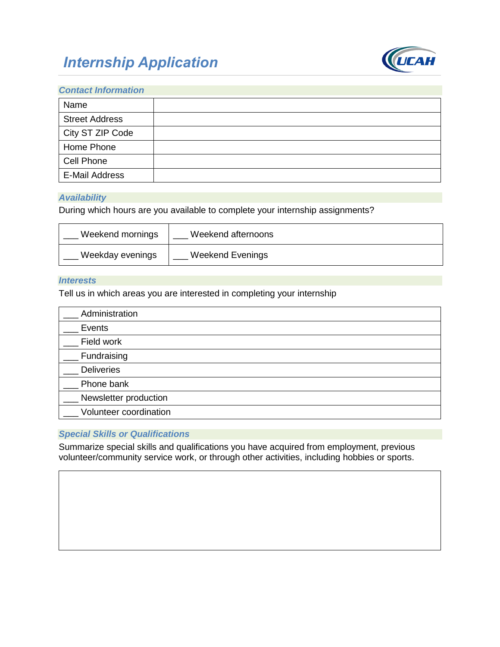# *Internship Application*



## *Contact Information*

| Name                  |  |
|-----------------------|--|
| <b>Street Address</b> |  |
| City ST ZIP Code      |  |
| Home Phone            |  |
| Cell Phone            |  |
| E-Mail Address        |  |

#### *Availability*

During which hours are you available to complete your internship assignments?

| Weekend mornings | Weekend afternoons |
|------------------|--------------------|
| Weekday evenings | Weekend Evenings   |

## *Interests*

Tell us in which areas you are interested in completing your internship

| Administration         |  |
|------------------------|--|
| Events                 |  |
| Field work             |  |
| Fundraising            |  |
| <b>Deliveries</b>      |  |
| Phone bank             |  |
| Newsletter production  |  |
| Volunteer coordination |  |

## *Special Skills or Qualifications*

Summarize special skills and qualifications you have acquired from employment, previous volunteer/community service work, or through other activities, including hobbies or sports.